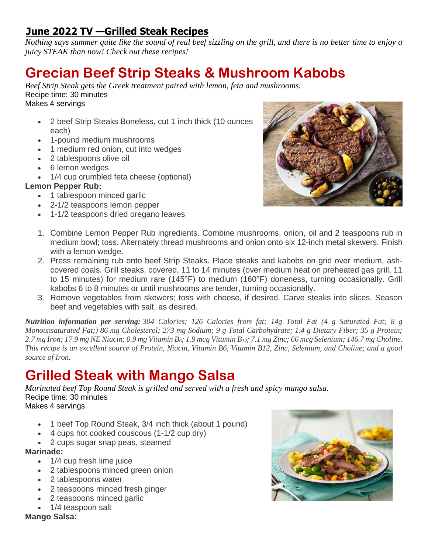### **June 2022 TV —Grilled Steak Recipes**

*Nothing says summer quite like the sound of real beef sizzling on the grill, and there is no better time to enjoy a juicy STEAK than now! Check out these recipes!*

## **Grecian Beef Strip Steaks & Mushroom Kabobs**

*Beef Strip Steak gets the Greek treatment paired with lemon, feta and mushrooms.* Recipe time: 30 minutes Makes 4 servings

- 2 beef Strip Steaks Boneless, cut 1 inch thick (10 ounces each)
- 1-pound medium mushrooms
- 1 medium red onion, cut into wedges
- 2 tablespoons olive oil
- 6 lemon wedges
- 1/4 cup crumbled feta cheese (optional)

### **Lemon Pepper Rub:**

- 1 tablespoon minced garlic
- 2-1/2 teaspoons lemon pepper
- 1-1/2 teaspoons dried oregano leaves



- 1. Combine Lemon Pepper Rub ingredients. Combine mushrooms, onion, oil and 2 teaspoons rub in medium bowl; toss. Alternately thread mushrooms and onion onto six 12-inch metal skewers. Finish with a lemon wedge.
- 2. Press remaining rub onto beef Strip Steaks. Place steaks and kabobs on grid over medium, ashcovered coals. Grill steaks, covered, 11 to 14 minutes (over medium heat on preheated gas grill, 11 to 15 minutes) for medium rare (145°F) to medium (160°F) doneness, turning occasionally. Grill kabobs 6 to 8 minutes or until mushrooms are tender, turning occasionally.
- 3. Remove vegetables from skewers; toss with cheese, if desired. Carve steaks into slices. Season beef and vegetables with salt, as desired.

*Nutrition information per serving: 304 Calories; 126 Calories from fat; 14g Total Fat (4 g Saturated Fat; 8 g Monounsaturated Fat;) 86 mg Cholesterol; 273 mg Sodium; 9 g Total Carbohydrate; 1.4 g Dietary Fiber; 35 g Protein; 2.7 mg Iron; 17.9 mg NE Niacin; 0.9 mg Vitamin B6; 1.9 mcg Vitamin B12; 7.1 mg Zinc; 66 mcg Selenium; 146.7 mg Choline. This recipe is an excellent source of Protein, Niacin, Vitamin B6, Vitamin B12, Zinc, Selenium, and Choline; and a good source of Iron.*

## **Grilled Steak with Mango Salsa**

*Marinated beef Top Round Steak is grilled and served with a fresh and spicy mango salsa.*  Recipe time: 30 minutes Makes 4 servings

- 1 beef Top Round Steak, 3/4 inch thick (about 1 pound)
- 4 cups hot cooked couscous (1-1/2 cup dry)
- 2 cups sugar snap peas, steamed

### **Marinade:**

- 1/4 cup fresh lime juice
- 2 tablespoons minced green onion
- 2 tablespoons water
- 2 teaspoons minced fresh ginger
- 2 teaspoons minced garlic
- 1/4 teaspoon salt

**Mango Salsa:**

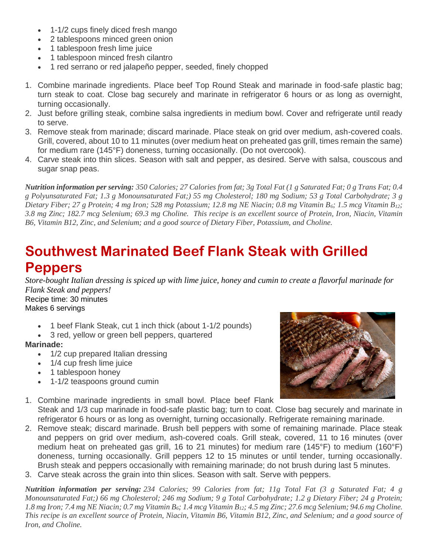- 1-1/2 cups finely diced fresh mango
- 2 tablespoons minced green onion
- 1 tablespoon fresh lime juice
- 1 tablespoon minced fresh cilantro
- 1 red serrano or red jalapeño pepper, seeded, finely chopped
- 1. Combine marinade ingredients. Place beef Top Round Steak and marinade in food-safe plastic bag; turn steak to coat. Close bag securely and marinate in refrigerator 6 hours or as long as overnight, turning occasionally.
- 2. Just before grilling steak, combine salsa ingredients in medium bowl. Cover and refrigerate until ready to serve.
- 3. Remove steak from marinade; discard marinade. Place steak on grid over medium, ash-covered coals. Grill, covered, about 10 to 11 minutes (over medium heat on preheated gas grill, times remain the same) for medium rare (145°F) doneness, turning occasionally. (Do not overcook).
- 4. Carve steak into thin slices. Season with salt and pepper, as desired. Serve with salsa, couscous and sugar snap peas.

*Nutrition information per serving: 350 Calories; 27 Calories from fat; 3g Total Fat (1 g Saturated Fat; 0 g Trans Fat; 0.4 g Polyunsaturated Fat; 1.3 g Monounsaturated Fat;) 55 mg Cholesterol; 180 mg Sodium; 53 g Total Carbohydrate; 3 g Dietary Fiber; 27 g Protein; 4 mg Iron; 528 mg Potassium; 12.8 mg NE Niacin; 0.8 mg Vitamin B6; 1.5 mcg Vitamin B12; 3.8 mg Zinc; 182.7 mcg Selenium; 69.3 mg Choline. This recipe is an excellent source of Protein, Iron, Niacin, Vitamin B6, Vitamin B12, Zinc, and Selenium; and a good source of Dietary Fiber, Potassium, and Choline.*

## **Southwest Marinated Beef Flank Steak with Grilled Peppers**

*Store-bought Italian dressing is spiced up with lime juice, honey and cumin to create a flavorful marinade for Flank Steak and peppers!*  Recipe time: 30 minutes

Makes 6 servings

- 1 beef Flank Steak, cut 1 inch thick (about 1-1/2 pounds)
- 3 red, yellow or green bell peppers, quartered

### **Marinade:**

- 1/2 cup prepared Italian dressing
- 1/4 cup fresh lime juice
- 1 tablespoon honey
- 1-1/2 teaspoons ground cumin



- 1. Combine marinade ingredients in small bowl. Place beef Flank Steak and 1/3 cup marinade in food-safe plastic bag; turn to coat. Close bag securely and marinate in refrigerator 6 hours or as long as overnight, turning occasionally. Refrigerate remaining marinade.
- 2. Remove steak; discard marinade. Brush bell peppers with some of remaining marinade. Place steak and peppers on grid over medium, ash-covered coals. Grill steak, covered, 11 to 16 minutes (over medium heat on preheated gas grill, 16 to 21 minutes) for medium rare (145°F) to medium (160°F) doneness, turning occasionally. Grill peppers 12 to 15 minutes or until tender, turning occasionally. Brush steak and peppers occasionally with remaining marinade; do not brush during last 5 minutes.
- 3. Carve steak across the grain into thin slices. Season with salt. Serve with peppers.

*Nutrition information per serving: 234 Calories; 99 Calories from fat; 11g Total Fat (3 g Saturated Fat; 4 g Monounsaturated Fat;) 66 mg Cholesterol; 246 mg Sodium; 9 g Total Carbohydrate; 1.2 g Dietary Fiber; 24 g Protein; 1.8 mg Iron; 7.4 mg NE Niacin; 0.7 mg Vitamin B6; 1.4 mcg Vitamin B12; 4.5 mg Zinc; 27.6 mcg Selenium; 94.6 mg Choline. This recipe is an excellent source of Protein, Niacin, Vitamin B6, Vitamin B12, Zinc, and Selenium; and a good source of Iron, and Choline.*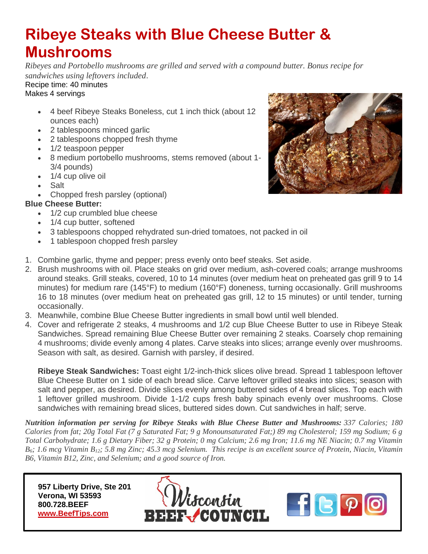# **Ribeye Steaks with Blue Cheese Butter & Mushrooms**

*Ribeyes and Portobello mushrooms are grilled and served with a compound butter. Bonus recipe for sandwiches using leftovers included*.

#### Recipe time: 40 minutes Makes 4 servings

- 4 beef Ribeye Steaks Boneless, cut 1 inch thick (about 12 ounces each)
- 2 tablespoons minced garlic
- 2 tablespoons chopped fresh thyme
- 1/2 teaspoon pepper
- 8 medium portobello mushrooms, stems removed (about 1- 3/4 pounds)
- 1/4 cup olive oil
- Salt
- Chopped fresh parsley (optional)

### **Blue Cheese Butter:**

- 1/2 cup crumbled blue cheese
- 1/4 cup butter, softened
- 3 tablespoons chopped rehydrated sun-dried tomatoes, not packed in oil
- 1 tablespoon chopped fresh parsley
- 1. Combine garlic, thyme and pepper; press evenly onto beef steaks. Set aside.
- 2. Brush mushrooms with oil. Place steaks on grid over medium, ash-covered coals; arrange mushrooms around steaks. Grill steaks, covered, 10 to 14 minutes (over medium heat on preheated gas grill 9 to 14 minutes) for medium rare (145°F) to medium (160°F) doneness, turning occasionally. Grill mushrooms 16 to 18 minutes (over medium heat on preheated gas grill, 12 to 15 minutes) or until tender, turning occasionally.
- 3. Meanwhile, combine Blue Cheese Butter ingredients in small bowl until well blended.
- 4. Cover and refrigerate 2 steaks, 4 mushrooms and 1/2 cup Blue Cheese Butter to use in Ribeye Steak Sandwiches. Spread remaining Blue Cheese Butter over remaining 2 steaks. Coarsely chop remaining 4 mushrooms; divide evenly among 4 plates. Carve steaks into slices; arrange evenly over mushrooms. Season with salt, as desired. Garnish with parsley, if desired.

**Ribeye Steak Sandwiches:** Toast eight 1/2-inch-thick slices olive bread. Spread 1 tablespoon leftover Blue Cheese Butter on 1 side of each bread slice. Carve leftover grilled steaks into slices; season with salt and pepper, as desired. Divide slices evenly among buttered sides of 4 bread slices. Top each with 1 leftover grilled mushroom. Divide 1-1/2 cups fresh baby spinach evenly over mushrooms. Close sandwiches with remaining bread slices, buttered sides down. Cut sandwiches in half; serve.

*Nutrition information per serving for Ribeye Steaks with Blue Cheese Butter and Mushrooms: 337 Calories; 180 Calories from fat; 20g Total Fat (7 g Saturated Fat; 9 g Monounsaturated Fat;) 89 mg Cholesterol; 159 mg Sodium; 6 g Total Carbohydrate; 1.6 g Dietary Fiber; 32 g Protein; 0 mg Calcium; 2.6 mg Iron; 11.6 mg NE Niacin; 0.7 mg Vitamin B6; 1.6 mcg Vitamin B12; 5.8 mg Zinc; 45.3 mcg Selenium. This recipe is an excellent source of Protein, Niacin, Vitamin B6, Vitamin B12, Zinc, and Selenium; and a good source of Iron.*

 **957 Liberty Drive, Ste 201 Verona, WI 53593 800.728.BEEF [www.BeefTips.com](http://www.beeftips.com/)**